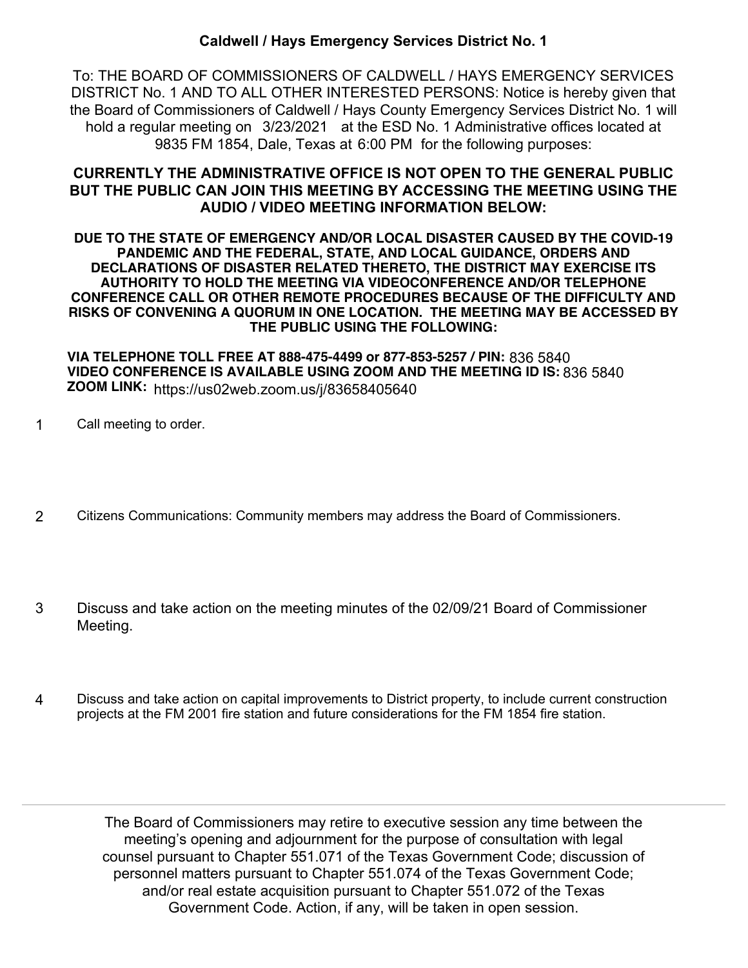## **Caldwell / Hays Emergency Services District No. 1**

To: THE BOARD OF COMMISSIONERS OF CALDWELL / HAYS EMERGENCY SERVICES DISTRICT No. 1 AND TO ALL OTHER INTERESTED PERSONS: Notice is hereby given that the Board of Commissioners of Caldwell / Hays County Emergency Services District No. 1 will hold a regular meeting on 3/23/2021 at the ESD No. 1 Administrative offices located at 9835 FM 1854, Dale, Texas at 6:00 PM for the following purposes:

# **CURRENTLY THE ADMINISTRATIVE OFFICE IS NOT OPEN TO THE GENERAL PUBLIC BUT THE PUBLIC CAN JOIN THIS MEETING BY ACCESSING THE MEETING USING THE AUDIO / VIDEO MEETING INFORMATION BELOW:**

**DUE TO THE STATE OF EMERGENCY AND/OR LOCAL DISASTER CAUSED BY THE COVID-19 PANDEMIC AND THE FEDERAL, STATE, AND LOCAL GUIDANCE, ORDERS AND DECLARATIONS OF DISASTER RELATED THERETO, THE DISTRICT MAY EXERCISE ITS AUTHORITY TO HOLD THE MEETING VIA VIDEOCONFERENCE AND/OR TELEPHONE CONFERENCE CALL OR OTHER REMOTE PROCEDURES BECAUSE OF THE DIFFICULTY AND RISKS OF CONVENING A QUORUM IN ONE LOCATION. THE MEETING MAY BE ACCESSED BY THE PUBLIC USING THE FOLLOWING:**

**VIA TELEPHONE TOLL FREE AT 888-475-4499 or 877-853-5257 / PIN:** 836 5840 **VIDEO CONFERENCE IS AVAILABLE USING ZOOM AND THE MEETING ID IS: 836 5840<br>TOOH! !!!!! ZOOM LINK:** https://us02web.zoom.us/j/83658405640

- 1 Call meeting to order.
- 2 Citizens Communications: Community members may address the Board of Commissioners.
- Discuss and take action on the meeting minutes of the 02/09/21 Board of Commissioner Meeting. 3
- Discuss and take action on capital improvements to District property, to include current construction projects at the FM 2001 fire station and future considerations for the FM 1854 fire station. 4

The Board of Commissioners may retire to executive session any time between the meeting's opening and adjournment for the purpose of consultation with legal counsel pursuant to Chapter 551.071 of the Texas Government Code; discussion of personnel matters pursuant to Chapter 551.074 of the Texas Government Code; and/or real estate acquisition pursuant to Chapter 551.072 of the Texas Government Code. Action, if any, will be taken in open session.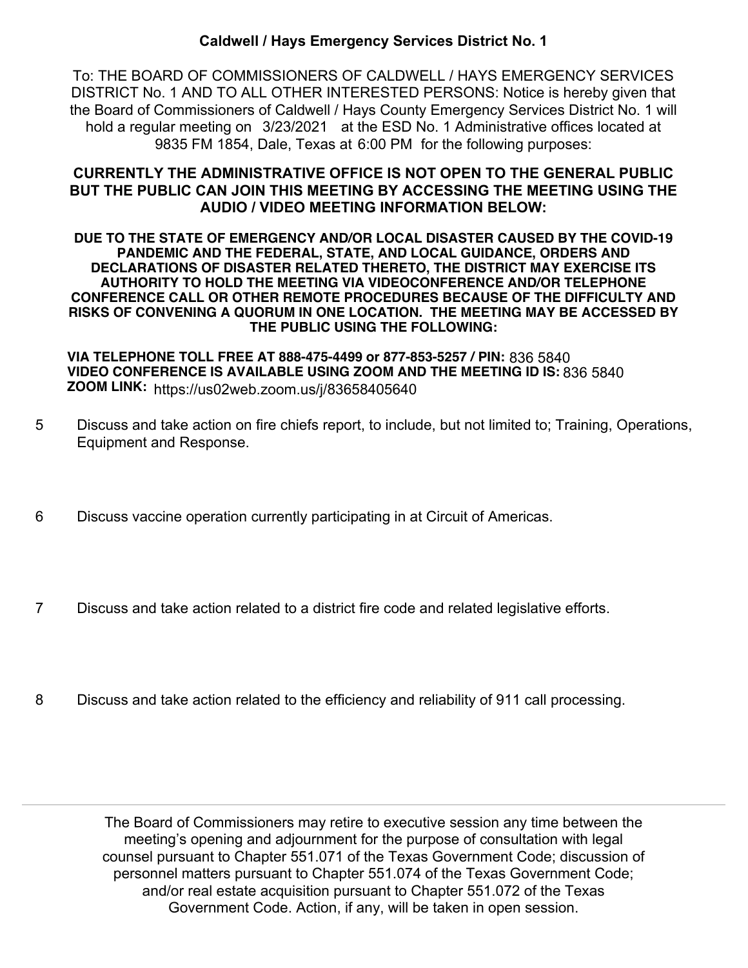## **Caldwell / Hays Emergency Services District No. 1**

To: THE BOARD OF COMMISSIONERS OF CALDWELL / HAYS EMERGENCY SERVICES DISTRICT No. 1 AND TO ALL OTHER INTERESTED PERSONS: Notice is hereby given that the Board of Commissioners of Caldwell / Hays County Emergency Services District No. 1 will hold a regular meeting on 3/23/2021 at the ESD No. 1 Administrative offices located at 9835 FM 1854, Dale, Texas at 6:00 PM for the following purposes:

# **CURRENTLY THE ADMINISTRATIVE OFFICE IS NOT OPEN TO THE GENERAL PUBLIC BUT THE PUBLIC CAN JOIN THIS MEETING BY ACCESSING THE MEETING USING THE AUDIO / VIDEO MEETING INFORMATION BELOW:**

**DUE TO THE STATE OF EMERGENCY AND/OR LOCAL DISASTER CAUSED BY THE COVID-19 PANDEMIC AND THE FEDERAL, STATE, AND LOCAL GUIDANCE, ORDERS AND DECLARATIONS OF DISASTER RELATED THERETO, THE DISTRICT MAY EXERCISE ITS AUTHORITY TO HOLD THE MEETING VIA VIDEOCONFERENCE AND/OR TELEPHONE CONFERENCE CALL OR OTHER REMOTE PROCEDURES BECAUSE OF THE DIFFICULTY AND RISKS OF CONVENING A QUORUM IN ONE LOCATION. THE MEETING MAY BE ACCESSED BY THE PUBLIC USING THE FOLLOWING:**

**VIA TELEPHONE TOLL FREE AT 888-475-4499 or 877-853-5257 / PIN:** 836 5840 **VIDEO CONFERENCE IS AVAILABLE USING ZOOM AND THE MEETING ID IS: 836 5840<br>TOOH! !!!!! ZOOM LINK:** https://us02web.zoom.us/j/83658405640

- Discuss and take action on fire chiefs report, to include, but not limited to; Training, Operations, Equipment and Response. 5
- 6 Discuss vaccine operation currently participating in at Circuit of Americas.
- 7 Discuss and take action related to a district fire code and related legislative efforts.
- 8 Discuss and take action related to the efficiency and reliability of 911 call processing.

The Board of Commissioners may retire to executive session any time between the meeting's opening and adjournment for the purpose of consultation with legal counsel pursuant to Chapter 551.071 of the Texas Government Code; discussion of personnel matters pursuant to Chapter 551.074 of the Texas Government Code; and/or real estate acquisition pursuant to Chapter 551.072 of the Texas Government Code. Action, if any, will be taken in open session.